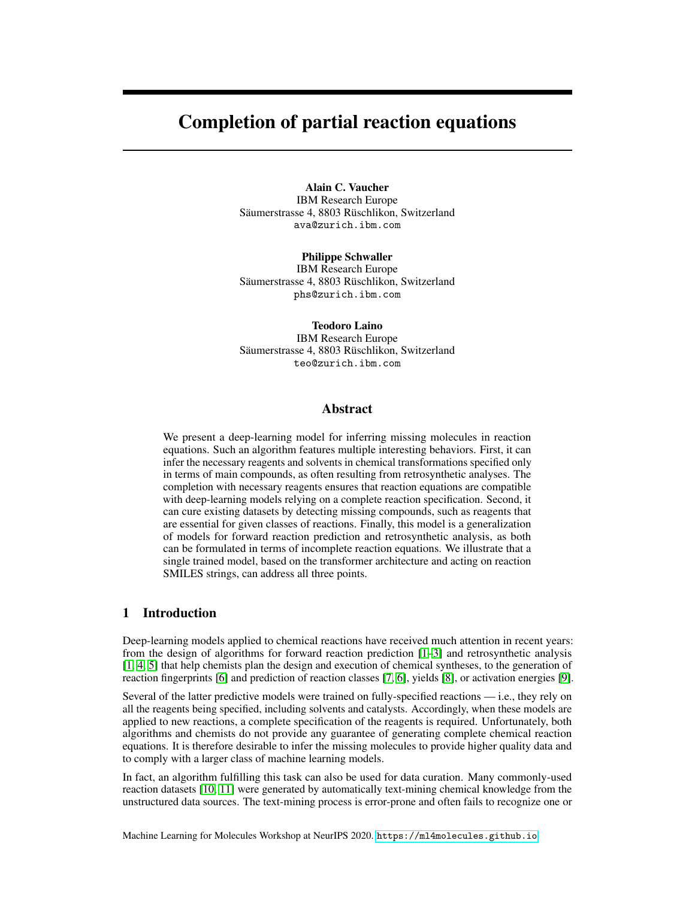# Completion of partial reaction equations

Alain C. Vaucher IBM Research Europe Säumerstrasse 4, 8803 Rüschlikon, Switzerland ava@zurich.ibm.com

Philippe Schwaller IBM Research Europe Säumerstrasse 4, 8803 Rüschlikon, Switzerland phs@zurich.ibm.com

Teodoro Laino IBM Research Europe Säumerstrasse 4, 8803 Rüschlikon, Switzerland teo@zurich.ibm.com

## Abstract

We present a deep-learning model for inferring missing molecules in reaction equations. Such an algorithm features multiple interesting behaviors. First, it can infer the necessary reagents and solvents in chemical transformations specified only in terms of main compounds, as often resulting from retrosynthetic analyses. The completion with necessary reagents ensures that reaction equations are compatible with deep-learning models relying on a complete reaction specification. Second, it can cure existing datasets by detecting missing compounds, such as reagents that are essential for given classes of reactions. Finally, this model is a generalization of models for forward reaction prediction and retrosynthetic analysis, as both can be formulated in terms of incomplete reaction equations. We illustrate that a single trained model, based on the transformer architecture and acting on reaction SMILES strings, can address all three points.

### 1 Introduction

Deep-learning models applied to chemical reactions have received much attention in recent years: from the design of algorithms for forward reaction prediction [\[1–](#page-4-0)[3\]](#page-4-1) and retrosynthetic analysis [\[1,](#page-4-0) [4,](#page-4-2) [5\]](#page-4-3) that help chemists plan the design and execution of chemical syntheses, to the generation of reaction fingerprints [\[6\]](#page-4-4) and prediction of reaction classes [\[7,](#page-4-5) [6\]](#page-4-4), yields [\[8\]](#page-4-6), or activation energies [\[9\]](#page-4-7).

Several of the latter predictive models were trained on fully-specified reactions — i.e., they rely on all the reagents being specified, including solvents and catalysts. Accordingly, when these models are applied to new reactions, a complete specification of the reagents is required. Unfortunately, both algorithms and chemists do not provide any guarantee of generating complete chemical reaction equations. It is therefore desirable to infer the missing molecules to provide higher quality data and to comply with a larger class of machine learning models.

In fact, an algorithm fulfilling this task can also be used for data curation. Many commonly-used reaction datasets [\[10,](#page-4-8) [11\]](#page-4-9) were generated by automatically text-mining chemical knowledge from the unstructured data sources. The text-mining process is error-prone and often fails to recognize one or

Machine Learning for Molecules Workshop at NeurIPS 2020. <https://ml4molecules.github.io>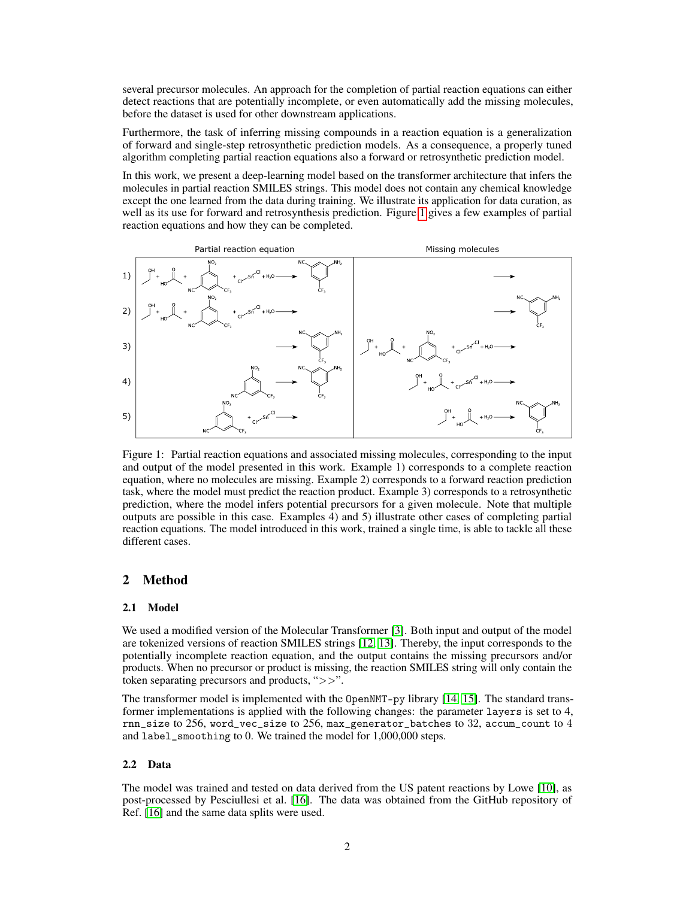several precursor molecules. An approach for the completion of partial reaction equations can either detect reactions that are potentially incomplete, or even automatically add the missing molecules, before the dataset is used for other downstream applications.

Furthermore, the task of inferring missing compounds in a reaction equation is a generalization of forward and single-step retrosynthetic prediction models. As a consequence, a properly tuned algorithm completing partial reaction equations also a forward or retrosynthetic prediction model.

In this work, we present a deep-learning model based on the transformer architecture that infers the molecules in partial reaction SMILES strings. This model does not contain any chemical knowledge except the one learned from the data during training. We illustrate its application for data curation, as well as its use for forward and retrosynthesis prediction. Figure [1](#page-1-0) gives a few examples of partial reaction equations and how they can be completed.



<span id="page-1-0"></span>Figure 1: Partial reaction equations and associated missing molecules, corresponding to the input and output of the model presented in this work. Example 1) corresponds to a complete reaction equation, where no molecules are missing. Example 2) corresponds to a forward reaction prediction task, where the model must predict the reaction product. Example 3) corresponds to a retrosynthetic prediction, where the model infers potential precursors for a given molecule. Note that multiple outputs are possible in this case. Examples 4) and 5) illustrate other cases of completing partial reaction equations. The model introduced in this work, trained a single time, is able to tackle all these different cases.

# 2 Method

#### 2.1 Model

We used a modified version of the Molecular Transformer [\[3\]](#page-4-1). Both input and output of the model are tokenized versions of reaction SMILES strings [\[12,](#page-4-10) [13\]](#page-4-11). Thereby, the input corresponds to the potentially incomplete reaction equation, and the output contains the missing precursors and/or products. When no precursor or product is missing, the reaction SMILES string will only contain the token separating precursors and products, ">>".

The transformer model is implemented with the OpenNMT-py library [\[14,](#page-4-12) [15\]](#page-4-13). The standard transformer implementations is applied with the following changes: the parameter layers is set to 4,  $rnn\_size$  to 256, word\_vec\_size to 256, max\_generator\_batches to 32, accum\_count to 4 and label\_smoothing to 0. We trained the model for 1,000,000 steps.

#### 2.2 Data

The model was trained and tested on data derived from the US patent reactions by Lowe [\[10\]](#page-4-8), as post-processed by Pesciullesi et al. [\[16\]](#page-4-14). The data was obtained from the GitHub repository of Ref. [\[16\]](#page-4-14) and the same data splits were used.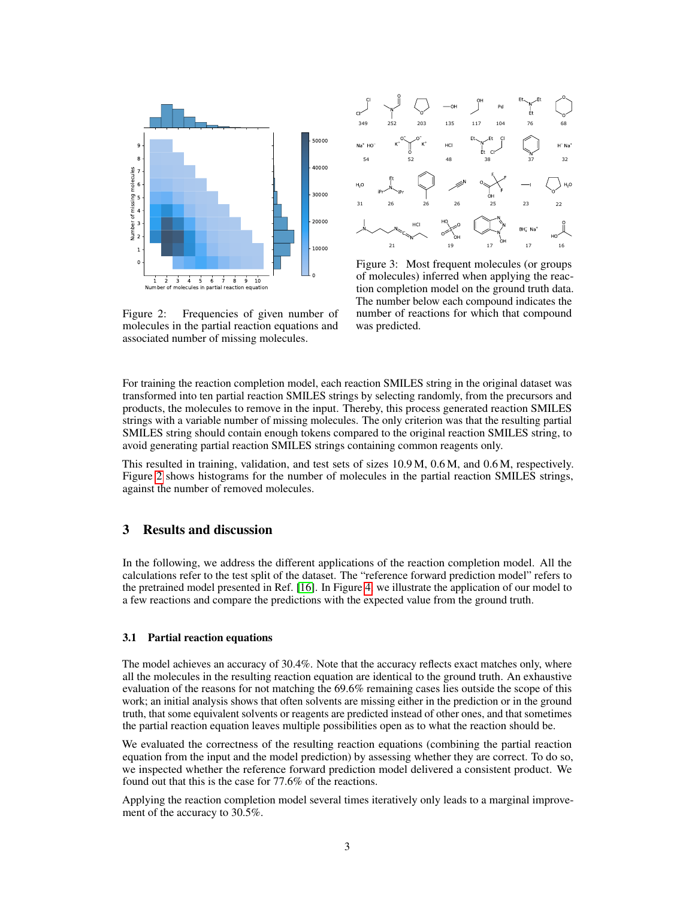



Figure 3: Most frequent molecules (or groups of molecules) inferred when applying the reaction completion model on the ground truth data. The number below each compound indicates the number of reactions for which that compound was predicted.

<span id="page-2-0"></span>Figure 2: Frequencies of given number of molecules in the partial reaction equations and associated number of missing molecules.

For training the reaction completion model, each reaction SMILES string in the original dataset was transformed into ten partial reaction SMILES strings by selecting randomly, from the precursors and products, the molecules to remove in the input. Thereby, this process generated reaction SMILES strings with a variable number of missing molecules. The only criterion was that the resulting partial SMILES string should contain enough tokens compared to the original reaction SMILES string, to avoid generating partial reaction SMILES strings containing common reagents only.

This resulted in training, validation, and test sets of sizes 10.9 M, 0.6 M, and 0.6 M, respectively. Figure [2](#page-2-0) shows histograms for the number of molecules in the partial reaction SMILES strings, against the number of removed molecules.

# 3 Results and discussion

In the following, we address the different applications of the reaction completion model. All the calculations refer to the test split of the dataset. The "reference forward prediction model" refers to the pretrained model presented in Ref. [\[16\]](#page-4-14). In Figure [4,](#page-3-0) we illustrate the application of our model to a few reactions and compare the predictions with the expected value from the ground truth.

#### 3.1 Partial reaction equations

The model achieves an accuracy of 30.4%. Note that the accuracy reflects exact matches only, where all the molecules in the resulting reaction equation are identical to the ground truth. An exhaustive evaluation of the reasons for not matching the 69.6% remaining cases lies outside the scope of this work; an initial analysis shows that often solvents are missing either in the prediction or in the ground truth, that some equivalent solvents or reagents are predicted instead of other ones, and that sometimes the partial reaction equation leaves multiple possibilities open as to what the reaction should be.

We evaluated the correctness of the resulting reaction equations (combining the partial reaction equation from the input and the model prediction) by assessing whether they are correct. To do so, we inspected whether the reference forward prediction model delivered a consistent product. We found out that this is the case for 77.6% of the reactions.

Applying the reaction completion model several times iteratively only leads to a marginal improvement of the accuracy to 30.5%.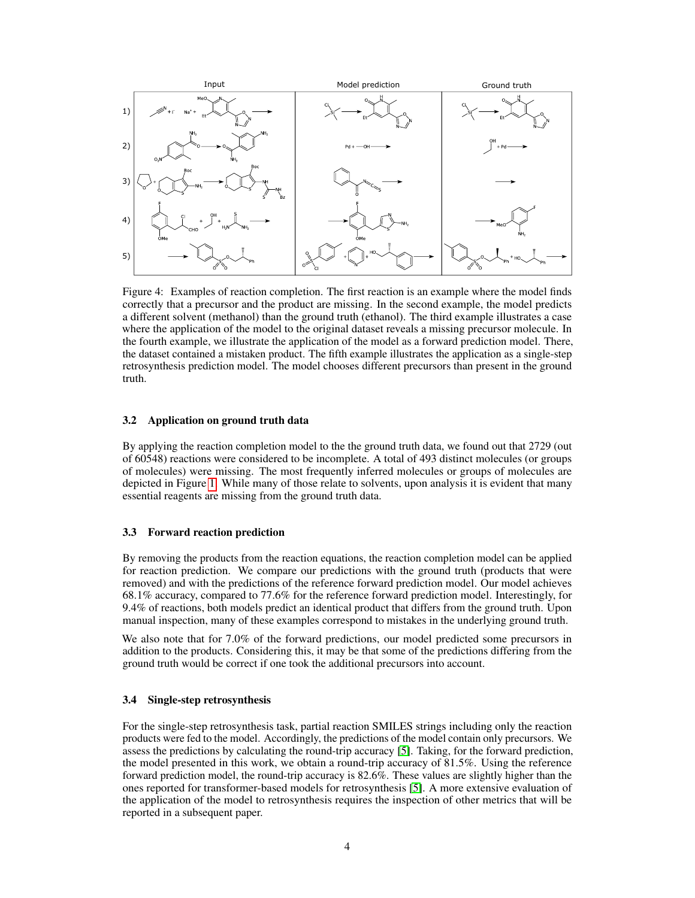

<span id="page-3-0"></span>Figure 4: Examples of reaction completion. The first reaction is an example where the model finds correctly that a precursor and the product are missing. In the second example, the model predicts a different solvent (methanol) than the ground truth (ethanol). The third example illustrates a case where the application of the model to the original dataset reveals a missing precursor molecule. In the fourth example, we illustrate the application of the model as a forward prediction model. There, the dataset contained a mistaken product. The fifth example illustrates the application as a single-step retrosynthesis prediction model. The model chooses different precursors than present in the ground truth.

#### 3.2 Application on ground truth data

By applying the reaction completion model to the the ground truth data, we found out that 2729 (out of 60548) reactions were considered to be incomplete. A total of 493 distinct molecules (or groups of molecules) were missing. The most frequently inferred molecules or groups of molecules are depicted in Figure [1.](#page-1-0) While many of those relate to solvents, upon analysis it is evident that many essential reagents are missing from the ground truth data.

#### 3.3 Forward reaction prediction

By removing the products from the reaction equations, the reaction completion model can be applied for reaction prediction. We compare our predictions with the ground truth (products that were removed) and with the predictions of the reference forward prediction model. Our model achieves 68.1% accuracy, compared to 77.6% for the reference forward prediction model. Interestingly, for 9.4% of reactions, both models predict an identical product that differs from the ground truth. Upon manual inspection, many of these examples correspond to mistakes in the underlying ground truth.

We also note that for 7.0% of the forward predictions, our model predicted some precursors in addition to the products. Considering this, it may be that some of the predictions differing from the ground truth would be correct if one took the additional precursors into account.

#### 3.4 Single-step retrosynthesis

For the single-step retrosynthesis task, partial reaction SMILES strings including only the reaction products were fed to the model. Accordingly, the predictions of the model contain only precursors. We assess the predictions by calculating the round-trip accuracy [\[5\]](#page-4-3). Taking, for the forward prediction, the model presented in this work, we obtain a round-trip accuracy of 81.5%. Using the reference forward prediction model, the round-trip accuracy is 82.6%. These values are slightly higher than the ones reported for transformer-based models for retrosynthesis [\[5\]](#page-4-3). A more extensive evaluation of the application of the model to retrosynthesis requires the inspection of other metrics that will be reported in a subsequent paper.